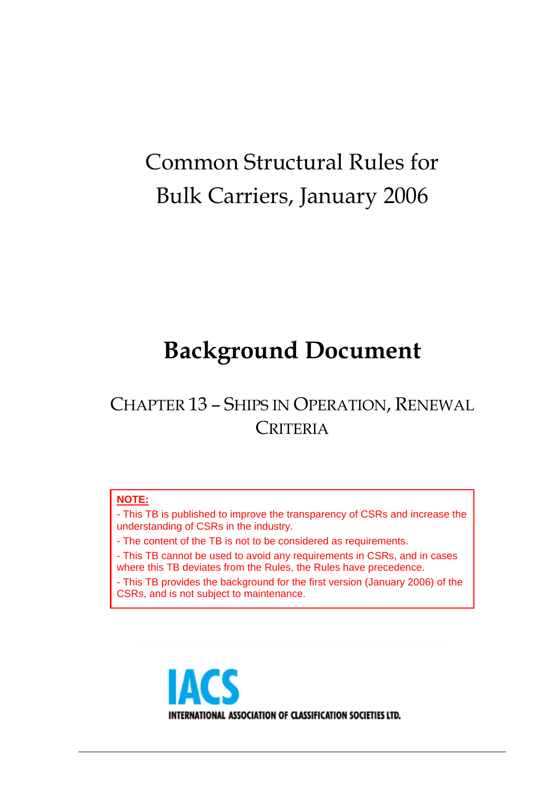# Common Structural Rules for Bulk Carriers, January 2006

# **Background Document**

## CHAPTER 13 – SHIPS IN OPERATION, RENEWAL **CRITERIA**

#### **NOTE:**

- This TB is published to improve the transparency of CSRs and increase the understanding of CSRs in the industry.

- The content of the TB is not to be considered as requirements.

- This TB cannot be used to avoid any requirements in CSRs, and in cases where this TB deviates from the Rules, the Rules have precedence.

- This TB provides the background for the first version (January 2006) of the CSRs, and is not subject to maintenance.

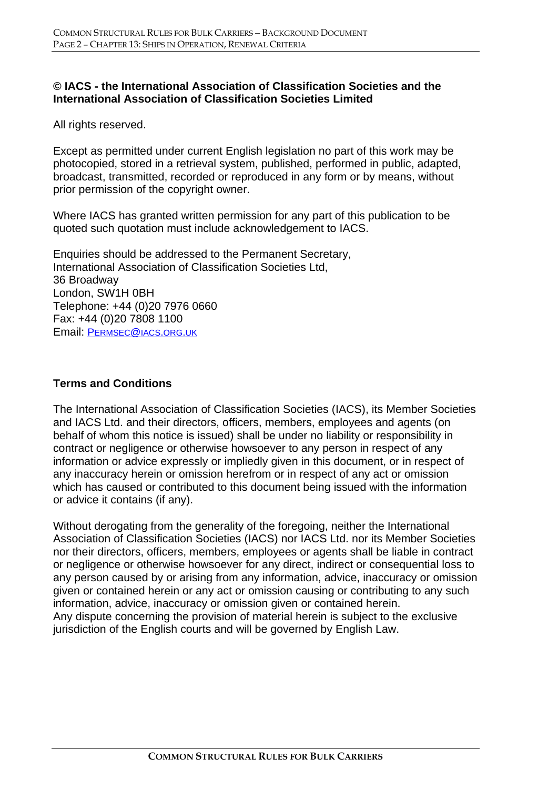#### **© IACS - the International Association of Classification Societies and the International Association of Classification Societies Limited**

All rights reserved.

Except as permitted under current English legislation no part of this work may be photocopied, stored in a retrieval system, published, performed in public, adapted, broadcast, transmitted, recorded or reproduced in any form or by means, without prior permission of the copyright owner.

Where IACS has granted written permission for any part of this publication to be quoted such quotation must include acknowledgement to IACS.

Enquiries should be addressed to the Permanent Secretary, International Association of Classification Societies Ltd, 36 Broadway London, SW1H 0BH Telephone: +44 (0)20 7976 0660 Fax: +44 (0)20 7808 1100 Email: PERMSEC@IACS.ORG.UK

#### **Terms and Conditions**

The International Association of Classification Societies (IACS), its Member Societies and IACS Ltd. and their directors, officers, members, employees and agents (on behalf of whom this notice is issued) shall be under no liability or responsibility in contract or negligence or otherwise howsoever to any person in respect of any information or advice expressly or impliedly given in this document, or in respect of any inaccuracy herein or omission herefrom or in respect of any act or omission which has caused or contributed to this document being issued with the information or advice it contains (if any).

Without derogating from the generality of the foregoing, neither the International Association of Classification Societies (IACS) nor IACS Ltd. nor its Member Societies nor their directors, officers, members, employees or agents shall be liable in contract or negligence or otherwise howsoever for any direct, indirect or consequential loss to any person caused by or arising from any information, advice, inaccuracy or omission given or contained herein or any act or omission causing or contributing to any such information, advice, inaccuracy or omission given or contained herein. Any dispute concerning the provision of material herein is subject to the exclusive jurisdiction of the English courts and will be governed by English Law.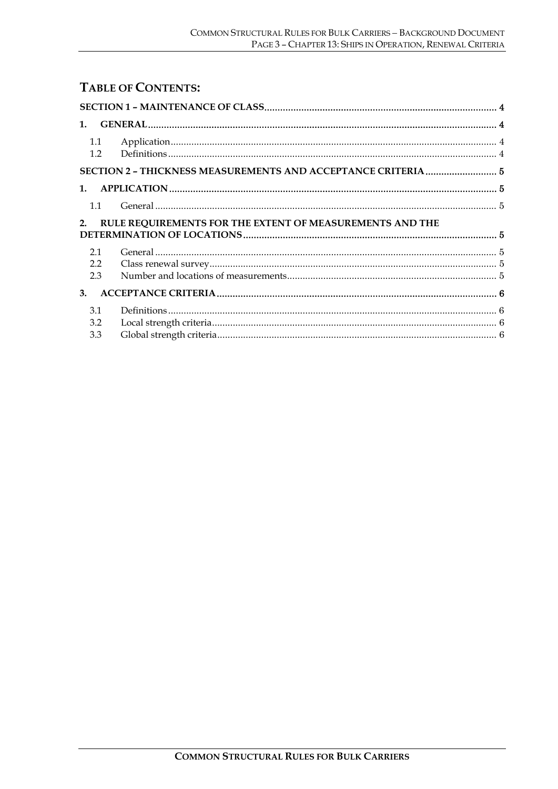#### **TABLE OF CONTENTS:**

| 1.1 |                                                                                                                                                                                                                                                                                                                                                                                                                                                                        |  |
|-----|------------------------------------------------------------------------------------------------------------------------------------------------------------------------------------------------------------------------------------------------------------------------------------------------------------------------------------------------------------------------------------------------------------------------------------------------------------------------|--|
| 1.2 |                                                                                                                                                                                                                                                                                                                                                                                                                                                                        |  |
|     | SECTION 2 - THICKNESS MEASUREMENTS AND ACCEPTANCE CRITERIA 5                                                                                                                                                                                                                                                                                                                                                                                                           |  |
|     |                                                                                                                                                                                                                                                                                                                                                                                                                                                                        |  |
| 1.1 |                                                                                                                                                                                                                                                                                                                                                                                                                                                                        |  |
| 2.  | RULE REQUIREMENTS FOR THE EXTENT OF MEASUREMENTS AND THE                                                                                                                                                                                                                                                                                                                                                                                                               |  |
| 2.1 |                                                                                                                                                                                                                                                                                                                                                                                                                                                                        |  |
| 2.2 |                                                                                                                                                                                                                                                                                                                                                                                                                                                                        |  |
| 2.3 |                                                                                                                                                                                                                                                                                                                                                                                                                                                                        |  |
| 3.  |                                                                                                                                                                                                                                                                                                                                                                                                                                                                        |  |
| 3.1 | $\textbf{Definitions} \textcolor{red}{\textbf{185} \textbf{19}} \textcolor{red}{\textbf{196} \textbf{19}} \textcolor{red}{\textbf{196} \textbf{19}} \textcolor{red}{\textbf{197} \textbf{19}} \textcolor{red}{\textbf{198} \textbf{19}} \textcolor{red}{\textbf{198} \textbf{19}} \textcolor{red}{\textbf{198} \textbf{19}} \textcolor{red}{\textbf{199} \textbf{19}} \textcolor{red}{\textbf{199} \textbf{19}} \textcolor{red}{\textbf{199} \textbf{19}} \textcolor{$ |  |
| 3.2 |                                                                                                                                                                                                                                                                                                                                                                                                                                                                        |  |
| 3.3 |                                                                                                                                                                                                                                                                                                                                                                                                                                                                        |  |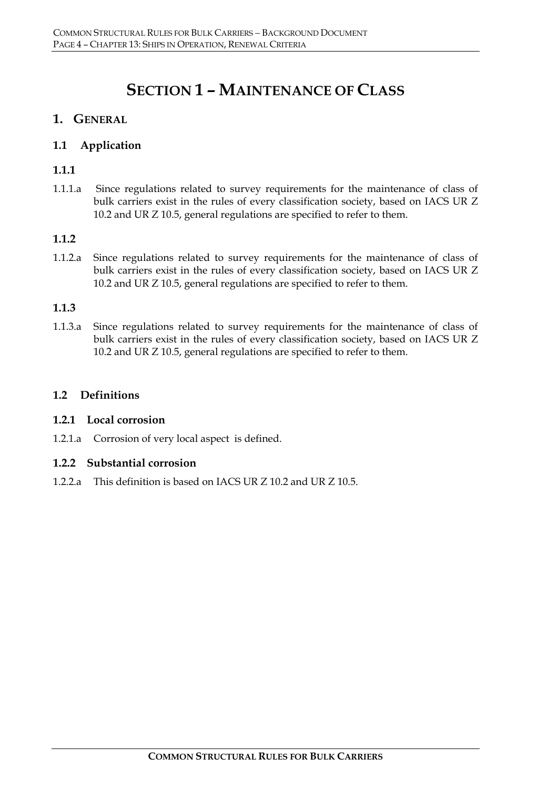### **SECTION 1 – MAINTENANCE OF CLASS**

#### **1. GENERAL**

#### **1.1 Application**

#### **1.1.1**

1.1.1.a Since regulations related to survey requirements for the maintenance of class of bulk carriers exist in the rules of every classification society, based on IACS UR Z 10.2 and UR Z 10.5, general regulations are specified to refer to them.

#### **1.1.2**

1.1.2.a Since regulations related to survey requirements for the maintenance of class of bulk carriers exist in the rules of every classification society, based on IACS UR Z 10.2 and UR Z 10.5, general regulations are specified to refer to them.

#### **1.1.3**

1.1.3.a Since regulations related to survey requirements for the maintenance of class of bulk carriers exist in the rules of every classification society, based on IACS UR Z 10.2 and UR Z 10.5, general regulations are specified to refer to them.

#### **1.2 Definitions**

#### **1.2.1 Local corrosion**

1.2.1.a Corrosion of very local aspect is defined.

#### **1.2.2 Substantial corrosion**

1.2.2.a This definition is based on IACS UR Z 10.2 and UR Z 10.5.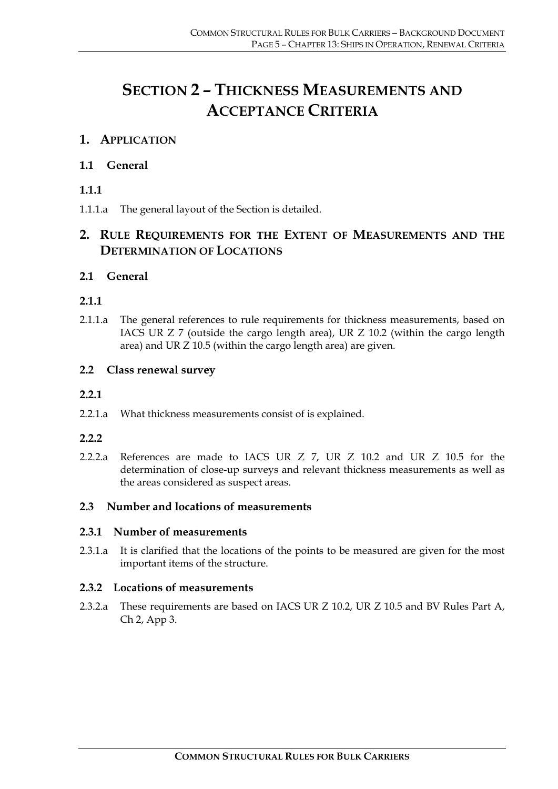## **SECTION 2 – THICKNESS MEASUREMENTS AND ACCEPTANCE CRITERIA**

#### **1. APPLICATION**

#### **1.1 General**

#### **1.1.1**

1.1.1.a The general layout of the Section is detailed.

#### **2. RULE REQUIREMENTS FOR THE EXTENT OF MEASUREMENTS AND THE DETERMINATION OF LOCATIONS**

#### **2.1 General**

#### **2.1.1**

2.1.1.a The general references to rule requirements for thickness measurements, based on IACS UR Z 7 (outside the cargo length area), UR Z 10.2 (within the cargo length area) and UR Z 10.5 (within the cargo length area) are given.

#### **2.2 Class renewal survey**

#### **2.2.1**

2.2.1.a What thickness measurements consist of is explained.

#### **2.2.2**

2.2.2.a References are made to IACS UR Z 7, UR Z 10.2 and UR Z 10.5 for the determination of close-up surveys and relevant thickness measurements as well as the areas considered as suspect areas.

#### **2.3 Number and locations of measurements**

#### **2.3.1 Number of measurements**

2.3.1.a It is clarified that the locations of the points to be measured are given for the most important items of the structure.

#### **2.3.2 Locations of measurements**

2.3.2.a These requirements are based on IACS UR Z 10.2, UR Z 10.5 and BV Rules Part A, Ch 2, App 3.